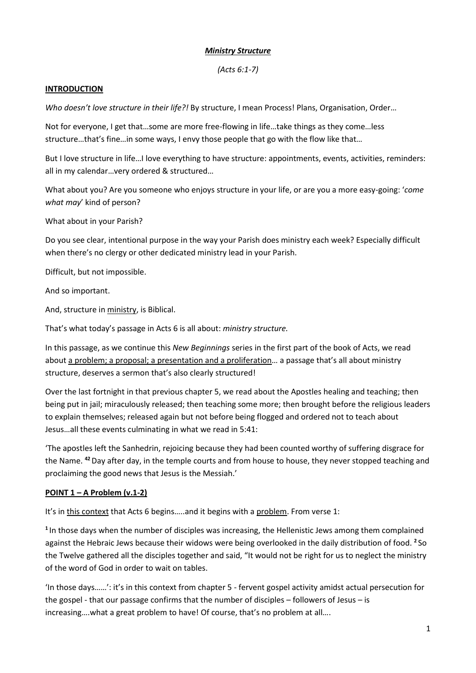## *Ministry Structure*

*(Acts 6:1-7)*

### **INTRODUCTION**

*Who doesn't love structure in their life?!* By structure, I mean Process! Plans, Organisation, Order…

Not for everyone, I get that…some are more free-flowing in life…take things as they come…less structure…that's fine…in some ways, I envy those people that go with the flow like that…

But I love structure in life…I love everything to have structure: appointments, events, activities, reminders: all in my calendar…very ordered & structured…

What about you? Are you someone who enjoys structure in your life, or are you a more easy-going: '*come what may*' kind of person?

What about in your Parish?

Do you see clear, intentional purpose in the way your Parish does ministry each week? Especially difficult when there's no clergy or other dedicated ministry lead in your Parish.

Difficult, but not impossible.

And so important.

And, structure in ministry, is Biblical.

That's what today's passage in Acts 6 is all about: *ministry structure.*

In this passage, as we continue this *New Beginnings* series in the first part of the book of Acts, we read about a problem; a proposal; a presentation and a proliferation… a passage that's all about ministry structure, deserves a sermon that's also clearly structured!

Over the last fortnight in that previous chapter 5, we read about the Apostles healing and teaching; then being put in jail; miraculously released; then teaching some more; then brought before the religious leaders to explain themselves; released again but not before being flogged and ordered not to teach about Jesus…all these events culminating in what we read in 5:41:

'The apostles left the Sanhedrin, rejoicing because they had been counted worthy of suffering disgrace for the Name. **<sup>42</sup>**Day after day, in the temple courts and from house to house, they never stopped teaching and proclaiming the good news that Jesus is the Messiah.'

# **POINT 1 – A Problem (v.1-2)**

It's in this context that Acts 6 begins…..and it begins with a problem. From verse 1:

**<sup>1</sup>**In those days when the number of disciples was increasing, the Hellenistic Jews among them complained against the Hebraic Jews because their widows were being overlooked in the daily distribution of food. **<sup>2</sup>** So the Twelve gathered all the disciples together and said, "It would not be right for us to neglect the ministry of the word of God in order to wait on tables.

'In those days……': it's in this context from chapter 5 - fervent gospel activity amidst actual persecution for the gospel - that our passage confirms that the number of disciples – followers of Jesus – is increasing….what a great problem to have! Of course, that's no problem at all….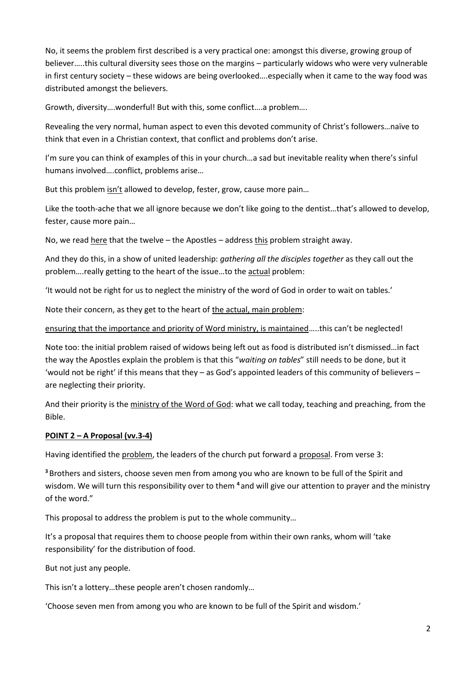No, it seems the problem first described is a very practical one: amongst this diverse, growing group of believer…..this cultural diversity sees those on the margins – particularly widows who were very vulnerable in first century society – these widows are being overlooked….especially when it came to the way food was distributed amongst the believers.

Growth, diversity….wonderful! But with this, some conflict….a problem….

Revealing the very normal, human aspect to even this devoted community of Christ's followers…naïve to think that even in a Christian context, that conflict and problems don't arise.

I'm sure you can think of examples of this in your church…a sad but inevitable reality when there's sinful humans involved….conflict, problems arise…

But this problem isn't allowed to develop, fester, grow, cause more pain…

Like the tooth-ache that we all ignore because we don't like going to the dentist…that's allowed to develop, fester, cause more pain…

No, we read here that the twelve – the Apostles – address this problem straight away.

And they do this, in a show of united leadership: *gathering all the disciples together* as they call out the problem….really getting to the heart of the issue…to the actual problem:

'It would not be right for us to neglect the ministry of the word of God in order to wait on tables.'

Note their concern, as they get to the heart of the actual, main problem:

ensuring that the importance and priority of Word ministry, is maintained.....this can't be neglected!

Note too: the initial problem raised of widows being left out as food is distributed isn't dismissed…in fact the way the Apostles explain the problem is that this "*waiting on tables*" still needs to be done, but it 'would not be right' if this means that they – as God's appointed leaders of this community of believers – are neglecting their priority.

And their priority is the ministry of the Word of God: what we call today, teaching and preaching, from the Bible.

### **POINT 2 – A Proposal (vv.3-4)**

Having identified the problem, the leaders of the church put forward a proposal. From verse 3:

**<sup>3</sup>** Brothers and sisters, choose seven men from among you who are known to be full of the Spirit and wisdom. We will turn this responsibility over to them **<sup>4</sup>** and will give our attention to prayer and the ministry of the word."

This proposal to address the problem is put to the whole community…

It's a proposal that requires them to choose people from within their own ranks, whom will 'take responsibility' for the distribution of food.

But not just any people.

This isn't a lottery…these people aren't chosen randomly…

'Choose seven men from among you who are known to be full of the Spirit and wisdom.'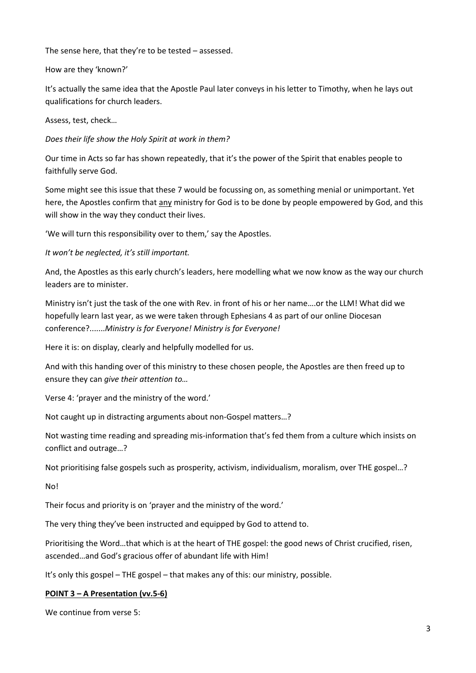The sense here, that they're to be tested – assessed.

#### How are they 'known?'

It's actually the same idea that the Apostle Paul later conveys in his letter to Timothy, when he lays out qualifications for church leaders.

Assess, test, check…

*Does their life show the Holy Spirit at work in them?*

Our time in Acts so far has shown repeatedly, that it's the power of the Spirit that enables people to faithfully serve God.

Some might see this issue that these 7 would be focussing on, as something menial or unimportant. Yet here, the Apostles confirm that any ministry for God is to be done by people empowered by God, and this will show in the way they conduct their lives.

'We will turn this responsibility over to them,' say the Apostles.

*It won't be neglected, it's still important.*

And, the Apostles as this early church's leaders, here modelling what we now know as the way our church leaders are to minister.

Ministry isn't just the task of the one with Rev. in front of his or her name….or the LLM! What did we hopefully learn last year, as we were taken through Ephesians 4 as part of our online Diocesan conference?.......*Ministry is for Everyone! Ministry is for Everyone!*

Here it is: on display, clearly and helpfully modelled for us.

And with this handing over of this ministry to these chosen people, the Apostles are then freed up to ensure they can *give their attention to…*

Verse 4: 'prayer and the ministry of the word.'

Not caught up in distracting arguments about non-Gospel matters…?

Not wasting time reading and spreading mis-information that's fed them from a culture which insists on conflict and outrage…?

Not prioritising false gospels such as prosperity, activism, individualism, moralism, over THE gospel…?

No!

Their focus and priority is on 'prayer and the ministry of the word.'

The very thing they've been instructed and equipped by God to attend to.

Prioritising the Word…that which is at the heart of THE gospel: the good news of Christ crucified, risen, ascended…and God's gracious offer of abundant life with Him!

It's only this gospel – THE gospel – that makes any of this: our ministry, possible.

### **POINT 3 – A Presentation (vv.5-6)**

We continue from verse 5: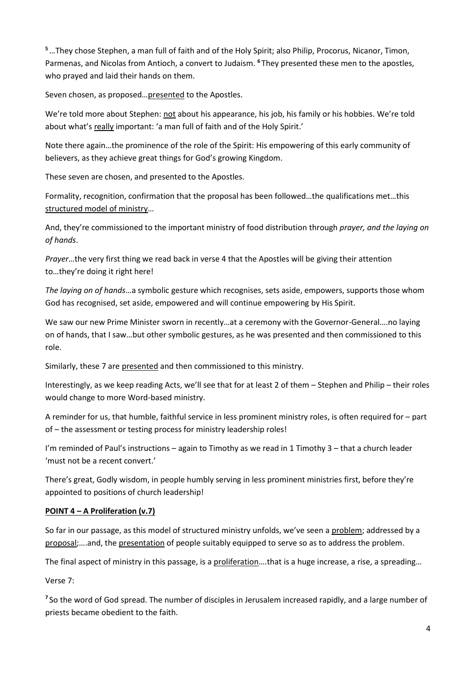**<sup>5</sup>**…They chose Stephen, a man full of faith and of the Holy Spirit; also Philip, Procorus, Nicanor, Timon, Parmenas, and Nicolas from Antioch, a convert to Judaism. **<sup>6</sup>** They presented these men to the apostles, who prayed and laid their hands on them.

Seven chosen, as proposed…presented to the Apostles.

We're told more about Stephen: not about his appearance, his job, his family or his hobbies. We're told about what's really important: 'a man full of faith and of the Holy Spirit.'

Note there again…the prominence of the role of the Spirit: His empowering of this early community of believers, as they achieve great things for God's growing Kingdom.

These seven are chosen, and presented to the Apostles.

Formality, recognition, confirmation that the proposal has been followed…the qualifications met…this structured model of ministry…

And, they're commissioned to the important ministry of food distribution through *prayer, and the laying on of hands*.

*Prayer*…the very first thing we read back in verse 4 that the Apostles will be giving their attention to…they're doing it right here!

*The laying on of hands*…a symbolic gesture which recognises, sets aside, empowers, supports those whom God has recognised, set aside, empowered and will continue empowering by His Spirit.

We saw our new Prime Minister sworn in recently…at a ceremony with the Governor-General….no laying on of hands, that I saw…but other symbolic gestures, as he was presented and then commissioned to this role.

Similarly, these 7 are presented and then commissioned to this ministry.

Interestingly, as we keep reading Acts, we'll see that for at least 2 of them – Stephen and Philip – their roles would change to more Word-based ministry.

A reminder for us, that humble, faithful service in less prominent ministry roles, is often required for – part of – the assessment or testing process for ministry leadership roles!

I'm reminded of Paul's instructions – again to Timothy as we read in 1 Timothy 3 – that a church leader 'must not be a recent convert.'

There's great, Godly wisdom, in people humbly serving in less prominent ministries first, before they're appointed to positions of church leadership!

# **POINT 4 – A Proliferation (v.7)**

So far in our passage, as this model of structured ministry unfolds, we've seen a problem; addressed by a proposal;….and, the presentation of people suitably equipped to serve so as to address the problem.

The final aspect of ministry in this passage, is a proliferation....that is a huge increase, a rise, a spreading...

Verse 7:

<sup>7</sup> So the word of God spread. The number of disciples in Jerusalem increased rapidly, and a large number of priests became obedient to the faith.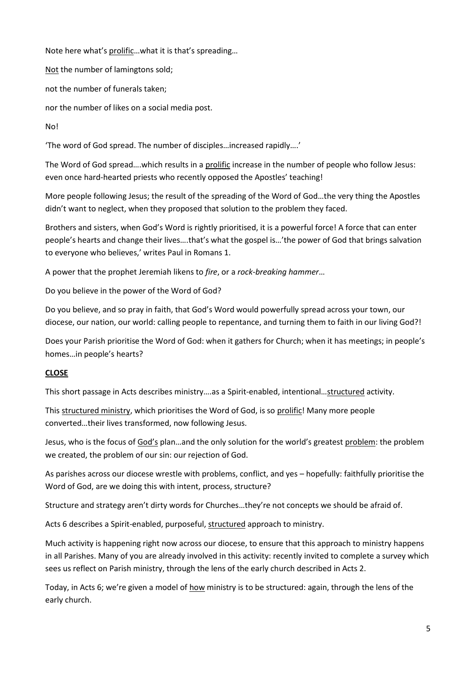Note here what's prolific…what it is that's spreading…

Not the number of lamingtons sold;

not the number of funerals taken;

nor the number of likes on a social media post.

No!

'The word of God spread. The number of disciples…increased rapidly….'

The Word of God spread….which results in a prolific increase in the number of people who follow Jesus: even once hard-hearted priests who recently opposed the Apostles' teaching!

More people following Jesus; the result of the spreading of the Word of God…the very thing the Apostles didn't want to neglect, when they proposed that solution to the problem they faced.

Brothers and sisters, when God's Word is rightly prioritised, it is a powerful force! A force that can enter people's hearts and change their lives….that's what the gospel is…'the power of God that brings salvation to everyone who believes,' writes Paul in Romans 1.

A power that the prophet Jeremiah likens to *fire*, or a *rock-breaking hammer*…

Do you believe in the power of the Word of God?

Do you believe, and so pray in faith, that God's Word would powerfully spread across your town, our diocese, our nation, our world: calling people to repentance, and turning them to faith in our living God?!

Does your Parish prioritise the Word of God: when it gathers for Church; when it has meetings; in people's homes…in people's hearts?

# **CLOSE**

This short passage in Acts describes ministry….as a Spirit-enabled, intentional…structured activity.

This structured ministry, which prioritises the Word of God, is so prolific! Many more people converted…their lives transformed, now following Jesus.

Jesus, who is the focus of God's plan...and the only solution for the world's greatest problem: the problem we created, the problem of our sin: our rejection of God.

As parishes across our diocese wrestle with problems, conflict, and yes – hopefully: faithfully prioritise the Word of God, are we doing this with intent, process, structure?

Structure and strategy aren't dirty words for Churches…they're not concepts we should be afraid of.

Acts 6 describes a Spirit-enabled, purposeful, structured approach to ministry.

Much activity is happening right now across our diocese, to ensure that this approach to ministry happens in all Parishes. Many of you are already involved in this activity: recently invited to complete a survey which sees us reflect on Parish ministry, through the lens of the early church described in Acts 2.

Today, in Acts 6; we're given a model of how ministry is to be structured: again, through the lens of the early church.